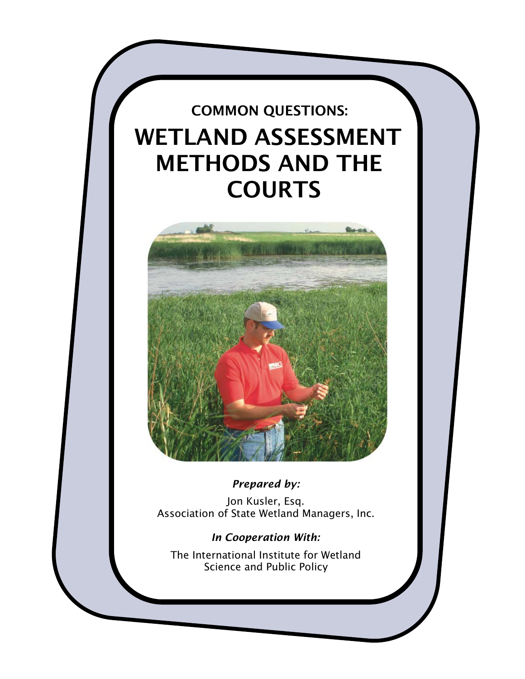# COMMON QUESTIONS: WETLAND ASSESSMENT METHODS AND THE COURTS



*Prepared by:*

Jon Kusler, Esq. Association of State Wetland Managers, Inc.

# *In Cooperation With:*

The International Institute for Wetland Science and Public Policy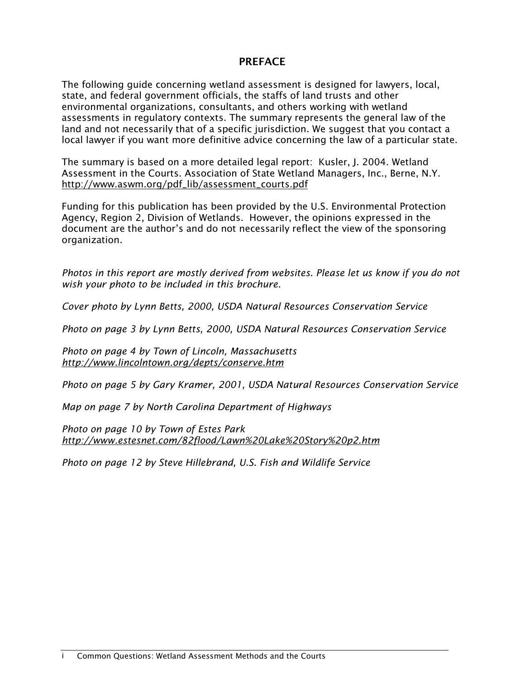### PREFACE

The following guide concerning wetland assessment is designed for lawyers, local, state, and federal government officials, the staffs of land trusts and other environmental organizations, consultants, and others working with wetland assessments in regulatory contexts. The summary represents the general law of the land and not necessarily that of a specific jurisdiction. We suggest that you contact a local lawyer if you want more definitive advice concerning the law of a particular state.

The summary is based on a more detailed legal report: Kusler, J. 2004. Wetland Assessment in the Courts. Association of State Wetland Managers, Inc., Berne, N.Y. [http://www.aswm.org/pdf\\_lib/assessment\\_courts.pdf](http://www.aswm.org/pdf_lib/assessment_courts.pdf)

Funding for this publication has been provided by the U.S. Environmental Protection Agency, Region 2, Division of Wetlands. However, the opinions expressed in the document are the author's and do not necessarily reflect the view of the sponsoring organization.

*Photos in this report are mostly derived from websites. Please let us know if you do not wish your photo to be included in this brochure.* 

*Cover photo by Lynn Betts, 2000, USDA Natural Resources Conservation Service*

*Photo on page 3 by Lynn Betts, 2000, USDA Natural Resources Conservation Service*

*Photo on page 4 by Town of Lincoln, Massachusetts <http://www.lincolntown.org/depts/conserve.htm>*

*Photo on page 5 by Gary Kramer, 2001, USDA Natural Resources Conservation Service*

*Map on page 7 by North Carolina Department of Highways*

*Photo on page 10 by Town of Estes Park <http://www.estesnet.com/82flood/Lawn%20Lake%20Story%20p2.htm>*

*Photo on page 12 by Steve Hillebrand, U.S. Fish and Wildlife Service*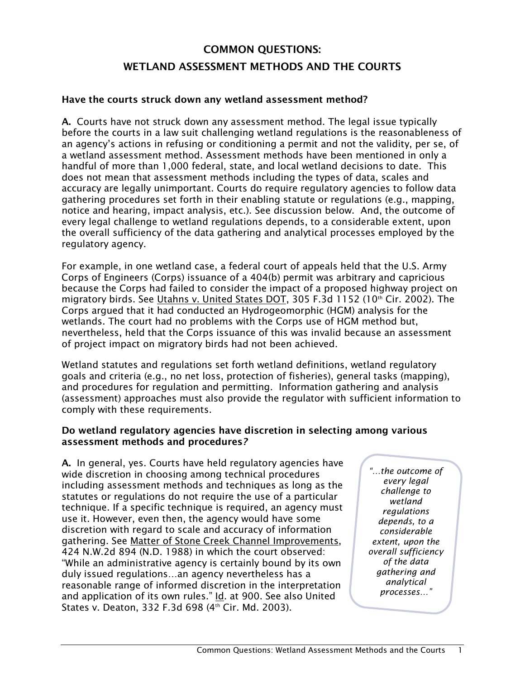# COMMON QUESTIONS: WETLAND ASSESSMENT METHODS AND THE COURTS

#### Have the courts struck down any wetland assessment method?

A. Courts have not struck down any assessment method. The legal issue typically before the courts in a law suit challenging wetland regulations is the reasonableness of an agency's actions in refusing or conditioning a permit and not the validity, per se, of a wetland assessment method. Assessment methods have been mentioned in only a handful of more than 1,000 federal, state, and local wetland decisions to date. This does not mean that assessment methods including the types of data, scales and accuracy are legally unimportant. Courts do require regulatory agencies to follow data gathering procedures set forth in their enabling statute or regulations (e.g., mapping, notice and hearing, impact analysis, etc.). See discussion below. And, the outcome of every legal challenge to wetland regulations depends, to a considerable extent, upon the overall sufficiency of the data gathering and analytical processes employed by the regulatory agency.

For example, in one wetland case, a federal court of appeals held that the U.S. Army Corps of Engineers (Corps) issuance of a 404(b) permit was arbitrary and capricious because the Corps had failed to consider the impact of a proposed highway project on migratory birds. See Utahns v. United States DOT, 305 F.3d 1152 (10th Cir. 2002). The Corps argued that it had conducted an Hydrogeomorphic (HGM) analysis for the wetlands. The court had no problems with the Corps use of HGM method but, nevertheless, held that the Corps issuance of this was invalid because an assessment of project impact on migratory birds had not been achieved.

Wetland statutes and regulations set forth wetland definitions, wetland regulatory goals and criteria (e.g., no net loss, protection of fisheries), general tasks (mapping), and procedures for regulation and permitting. Information gathering and analysis (assessment) approaches must also provide the regulator with sufficient information to comply with these requirements.

#### Do wetland regulatory agencies have discretion in selecting among various assessment methods and procedures*?*

A. In general, yes. Courts have held regulatory agencies have wide discretion in choosing among technical procedures including assessment methods and techniques as long as the statutes or regulations do not require the use of a particular technique. If a specific technique is required, an agency must use it. However, even then, the agency would have some discretion with regard to scale and accuracy of information gathering. See Matter of Stone Creek Channel Improvements, 424 N.W.2d 894 (N.D. 1988) in which the court observed: "While an administrative agency is certainly bound by its own duly issued regulations…an agency nevertheless has a reasonable range of informed discretion in the interpretation and application of its own rules." Id. at 900. See also United States v. Deaton, 332 F.3d 698 (4<sup>th</sup> Cir. Md. 2003).

*"…the outcome of every legal challenge to wetland regulations depends, to a considerable extent, upon the overall sufficiency of the data gathering and analytical processes…"*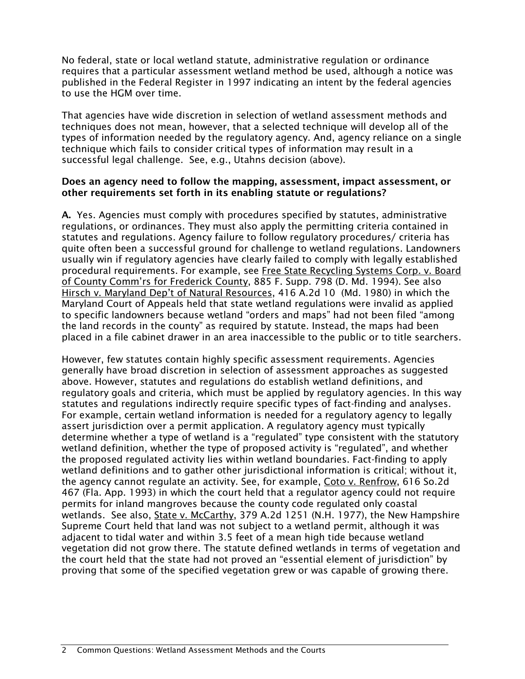No federal, state or local wetland statute, administrative regulation or ordinance requires that a particular assessment wetland method be used, although a notice was published in the Federal Register in 1997 indicating an intent by the federal agencies to use the HGM over time.

That agencies have wide discretion in selection of wetland assessment methods and techniques does not mean, however, that a selected technique will develop all of the types of information needed by the regulatory agency. And, agency reliance on a single technique which fails to consider critical types of information may result in a successful legal challenge. See, e.g., Utahns decision (above).

#### Does an agency need to follow the mapping, assessment, impact assessment, or other requirements set forth in its enabling statute or regulations?

A. Yes. Agencies must comply with procedures specified by statutes, administrative regulations, or ordinances. They must also apply the permitting criteria contained in statutes and regulations. Agency failure to follow regulatory procedures/ criteria has quite often been a successful ground for challenge to wetland regulations. Landowners usually win if regulatory agencies have clearly failed to comply with legally established procedural requirements. For example, see Free State Recycling Systems Corp. v. Board of County Comm'rs for Frederick County, 885 F. Supp. 798 (D. Md. 1994). See also Hirsch v. Maryland Dep't of Natural Resources, 416 A.2d 10 (Md. 1980) in which the Maryland Court of Appeals held that state wetland regulations were invalid as applied to specific landowners because wetland "orders and maps" had not been filed "among the land records in the county" as required by statute. Instead, the maps had been placed in a file cabinet drawer in an area inaccessible to the public or to title searchers.

However, few statutes contain highly specific assessment requirements. Agencies generally have broad discretion in selection of assessment approaches as suggested above. However, statutes and regulations do establish wetland definitions, and regulatory goals and criteria, which must be applied by regulatory agencies. In this way statutes and regulations indirectly require specific types of fact-finding and analyses. For example, certain wetland information is needed for a regulatory agency to legally assert jurisdiction over a permit application. A regulatory agency must typically determine whether a type of wetland is a "regulated" type consistent with the statutory wetland definition, whether the type of proposed activity is "regulated", and whether the proposed regulated activity lies within wetland boundaries. Fact-finding to apply wetland definitions and to gather other jurisdictional information is critical; without it, the agency cannot regulate an activity. See, for example, Coto v. Renfrow, 616 So.2d 467 (Fla. App. 1993) in which the court held that a regulator agency could not require permits for inland mangroves because the county code regulated only coastal wetlands. See also, State v. McCarthy, 379 A.2d 1251 (N.H. 1977), the New Hampshire Supreme Court held that land was not subject to a wetland permit, although it was adjacent to tidal water and within 3.5 feet of a mean high tide because wetland vegetation did not grow there. The statute defined wetlands in terms of vegetation and the court held that the state had not proved an "essential element of jurisdiction" by proving that some of the specified vegetation grew or was capable of growing there.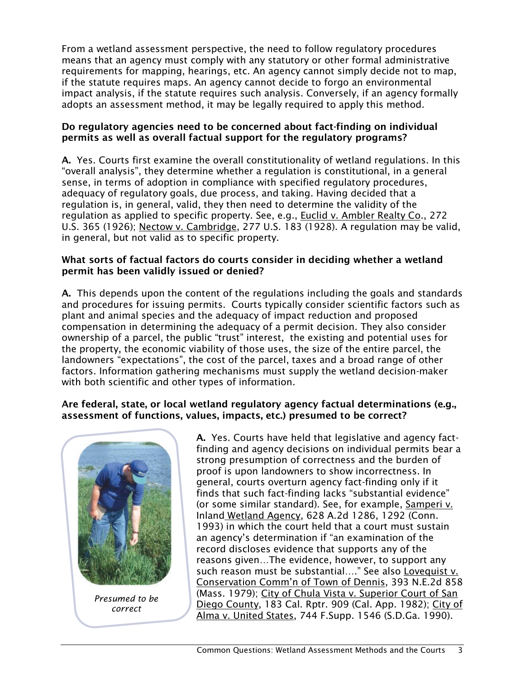From a wetland assessment perspective, the need to follow regulatory procedures means that an agency must comply with any statutory or other formal administrative requirements for mapping, hearings, etc. An agency cannot simply decide not to map, if the statute requires maps. An agency cannot decide to forgo an environmental impact analysis, if the statute requires such analysis. Conversely, if an agency formally adopts an assessment method, it may be legally required to apply this method.

#### Do regulatory agencies need to be concerned about fact-finding on individual permits as well as overall factual support for the regulatory programs?

A. Yes. Courts first examine the overall constitutionality of wetland regulations. In this "overall analysis", they determine whether a regulation is constitutional, in a general sense, in terms of adoption in compliance with specified regulatory procedures, adequacy of regulatory goals, due process, and taking. Having decided that a regulation is, in general, valid, they then need to determine the validity of the regulation as applied to specific property. See, e.g., Euclid v. Ambler Realty Co., 272 U.S. 365 (1926); Nectow v. Cambridge, 277 U.S. 183 (1928). A regulation may be valid, in general, but not valid as to specific property.

#### What sorts of factual factors do courts consider in deciding whether a wetland permit has been validly issued or denied?

A. This depends upon the content of the regulations including the goals and standards and procedures for issuing permits. Courts typically consider scientific factors such as plant and animal species and the adequacy of impact reduction and proposed compensation in determining the adequacy of a permit decision. They also consider ownership of a parcel, the public "trust" interest, the existing and potential uses for the property, the economic viability of those uses, the size of the entire parcel, the landowners "expectations", the cost of the parcel, taxes and a broad range of other factors. Information gathering mechanisms must supply the wetland decision-maker with both scientific and other types of information.

### Are federal, state, or local wetland regulatory agency factual determinations (e.g., assessment of functions, values, impacts, etc.) presumed to be correct?



A. Yes. Courts have held that legislative and agency factfinding and agency decisions on individual permits bear a strong presumption of correctness and the burden of proof is upon landowners to show incorrectness. In general, courts overturn agency fact-finding only if it finds that such fact-finding lacks "substantial evidence" (or some similar standard). See, for example, Samperi v. Inland Wetland Agency, 628 A.2d 1286, 1292 (Conn. 1993) in which the court held that a court must sustain an agency's determination if "an examination of the record discloses evidence that supports any of the reasons given…The evidence, however, to support any such reason must be substantial…." See also Lovequist v. Conservation Comm'n of Town of Dennis, 393 N.E.2d 858 (Mass. 1979); City of Chula Vista v. Superior Court of San Diego County, 183 Cal. Rptr. 909 (Cal. App. 1982); City of Alma v. United States, 744 F.Supp. 1546 (S.D.Ga. 1990).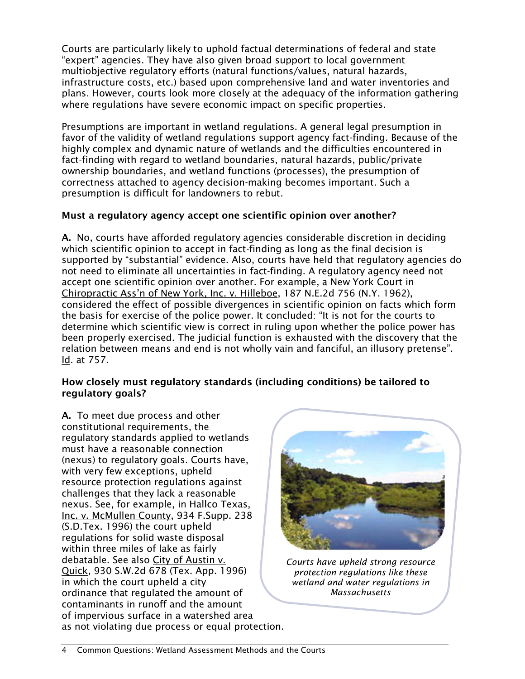Courts are particularly likely to uphold factual determinations of federal and state "expert" agencies. They have also given broad support to local government multiobjective regulatory efforts (natural functions/values, natural hazards, infrastructure costs, etc.) based upon comprehensive land and water inventories and plans. However, courts look more closely at the adequacy of the information gathering where regulations have severe economic impact on specific properties.

Presumptions are important in wetland regulations. A general legal presumption in favor of the validity of wetland regulations support agency fact-finding. Because of the highly complex and dynamic nature of wetlands and the difficulties encountered in fact-finding with regard to wetland boundaries, natural hazards, public/private ownership boundaries, and wetland functions (processes), the presumption of correctness attached to agency decision-making becomes important. Such a presumption is difficult for landowners to rebut.

## Must a regulatory agency accept one scientific opinion over another?

A. No, courts have afforded regulatory agencies considerable discretion in deciding which scientific opinion to accept in fact-finding as long as the final decision is supported by "substantial" evidence. Also, courts have held that regulatory agencies do not need to eliminate all uncertainties in fact-finding. A regulatory agency need not accept one scientific opinion over another. For example, a New York Court in Chiropractic Ass'n of New York, Inc. v. Hilleboe, 187 N.E.2d 756 (N.Y. 1962), considered the effect of possible divergences in scientific opinion on facts which form the basis for exercise of the police power. It concluded: "It is not for the courts to determine which scientific view is correct in ruling upon whether the police power has been properly exercised. The judicial function is exhausted with the discovery that the relation between means and end is not wholly vain and fanciful, an illusory pretense". Id. at 757.

#### How closely must regulatory standards (including conditions) be tailored to regulatory goals?

A. To meet due process and other constitutional requirements, the regulatory standards applied to wetlands must have a reasonable connection (nexus) to regulatory goals. Courts have, with very few exceptions, upheld resource protection regulations against challenges that they lack a reasonable nexus. See, for example, in Hallco Texas, Inc. v. McMullen County, 934 F.Supp. 238 (S.D.Tex. 1996) the court upheld regulations for solid waste disposal within three miles of lake as fairly debatable. See also City of Austin v. Quick, 930 S.W.2d 678 (Tex. App. 1996) in which the court upheld a city ordinance that regulated the amount of contaminants in runoff and the amount of impervious surface in a watershed area as not violating due process or equal protection.



*Courts have upheld strong resource protection regulations like these wetland and water regulations in Massachusetts*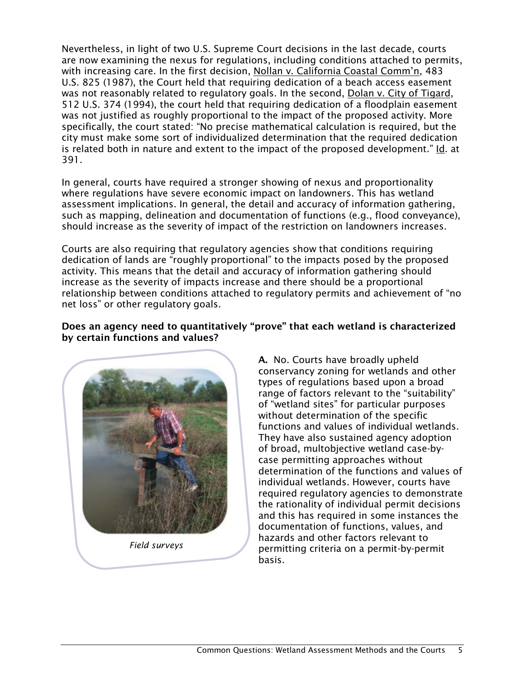Nevertheless, in light of two U.S. Supreme Court decisions in the last decade, courts are now examining the nexus for regulations, including conditions attached to permits, with increasing care. In the first decision, Nollan v. California Coastal Comm'n, 483 U.S. 825 (1987), the Court held that requiring dedication of a beach access easement was not reasonably related to regulatory goals. In the second, Dolan v. City of Tigard, 512 U.S. 374 (1994), the court held that requiring dedication of a floodplain easement was not justified as roughly proportional to the impact of the proposed activity. More specifically, the court stated: "No precise mathematical calculation is required, but the city must make some sort of individualized determination that the required dedication is related both in nature and extent to the impact of the proposed development." Id. at 391.

In general, courts have required a stronger showing of nexus and proportionality where regulations have severe economic impact on landowners. This has wetland assessment implications. In general, the detail and accuracy of information gathering, such as mapping, delineation and documentation of functions (e.g., flood conveyance), should increase as the severity of impact of the restriction on landowners increases.

Courts are also requiring that regulatory agencies show that conditions requiring dedication of lands are "roughly proportional" to the impacts posed by the proposed activity. This means that the detail and accuracy of information gathering should increase as the severity of impacts increase and there should be a proportional relationship between conditions attached to regulatory permits and achievement of "no net loss" or other regulatory goals.

#### Does an agency need to quantitatively "prove" that each wetland is characterized by certain functions and values?



*Field surveys*

A. No. Courts have broadly upheld conservancy zoning for wetlands and other types of regulations based upon a broad range of factors relevant to the "suitability" of "wetland sites" for particular purposes without determination of the specific functions and values of individual wetlands. They have also sustained agency adoption of broad, multobjective wetland case-bycase permitting approaches without determination of the functions and values of individual wetlands. However, courts have required regulatory agencies to demonstrate the rationality of individual permit decisions and this has required in some instances the documentation of functions, values, and hazards and other factors relevant to permitting criteria on a permit-by-permit basis.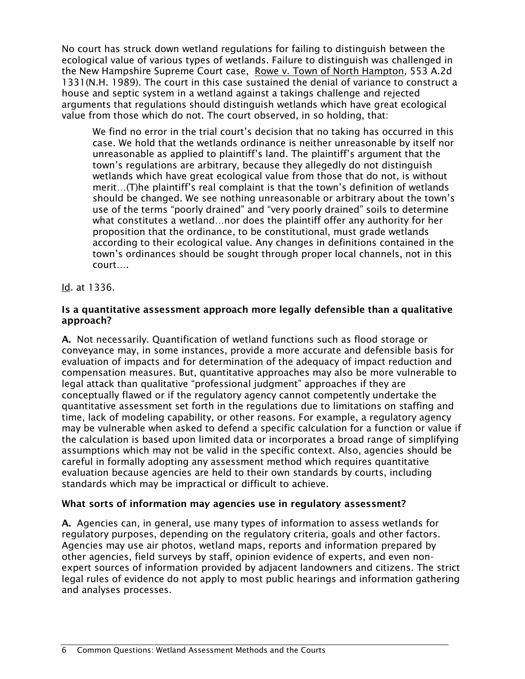No court has struck down wetland regulations for failing to distinguish between the ecological value of various types of wetlands. Failure to distinguish was challenged in the New Hampshire Supreme Court case, Rowe v. Town of North Hampton, 553 A.2d 1331(N.H. 1989). The court in this case sustained the denial of variance to construct a house and septic system in a wetland against a takings challenge and rejected arguments that regulations should distinguish wetlands which have great ecological value from those which do not. The court observed, in so holding, that:

We find no error in the trial court's decision that no taking has occurred in this case. We hold that the wetlands ordinance is neither unreasonable by itself nor unreasonable as applied to plaintiff's land. The plaintiff's argument that the town's regulations are arbitrary, because they allegedly do not distinguish wetlands which have great ecological value from those that do not, is without merit…(T)he plaintiff's real complaint is that the town's definition of wetlands should be changed. We see nothing unreasonable or arbitrary about the town's use of the terms "poorly drained" and "very poorly drained" soils to determine what constitutes a wetland…nor does the plaintiff offer any authority for her proposition that the ordinance, to be constitutional, must grade wetlands according to their ecological value. Any changes in definitions contained in the town's ordinances should be sought through proper local channels, not in this court….

### Id. at 1336.

#### Is a quantitative assessment approach more legally defensible than a qualitative approach?

A. Not necessarily. Quantification of wetland functions such as flood storage or conveyance may, in some instances, provide a more accurate and defensible basis for evaluation of impacts and for determination of the adequacy of impact reduction and compensation measures. But, quantitative approaches may also be more vulnerable to legal attack than qualitative "professional judgment" approaches if they are conceptually flawed or if the regulatory agency cannot competently undertake the quantitative assessment set forth in the regulations due to limitations on staffing and time, lack of modeling capability, or other reasons. For example, a regulatory agency may be vulnerable when asked to defend a specific calculation for a function or value if the calculation is based upon limited data or incorporates a broad range of simplifying assumptions which may not be valid in the specific context. Also, agencies should be careful in formally adopting any assessment method which requires quantitative evaluation because agencies are held to their own standards by courts, including standards which may be impractical or difficult to achieve.

### What sorts of information may agencies use in regulatory assessment?

A. Agencies can, in general, use many types of information to assess wetlands for regulatory purposes, depending on the regulatory criteria, goals and other factors. Agencies may use air photos, wetland maps, reports and information prepared by other agencies, field surveys by staff, opinion evidence of experts, and even nonexpert sources of information provided by adjacent landowners and citizens. The strict legal rules of evidence do not apply to most public hearings and information gathering and analyses processes.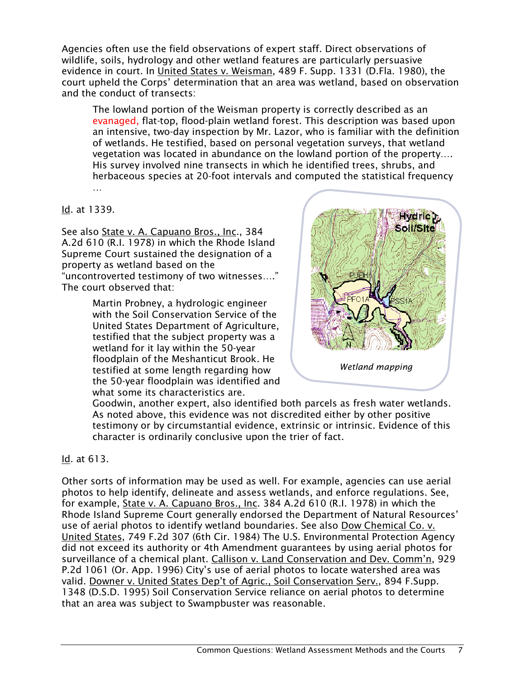Agencies often use the field observations of expert staff. Direct observations of wildlife, soils, hydrology and other wetland features are particularly persuasive evidence in court. In United States v. Weisman, 489 F. Supp. 1331 (D.Fla. 1980), the court upheld the Corps' determination that an area was wetland, based on observation and the conduct of transects:

The lowland portion of the Weisman property is correctly described as an evanaged, flat-top, flood-plain wetland forest. This description was based upon an intensive, two-day inspection by Mr. Lazor, who is familiar with the definition of wetlands. He testified, based on personal vegetation surveys, that wetland vegetation was located in abundance on the lowland portion of the property…. His survey involved nine transects in which he identified trees, shrubs, and herbaceous species at 20-foot intervals and computed the statistical frequency …

Id. at 1339.

See also State v. A. Capuano Bros., Inc., 384 A.2d 610 (R.I. 1978) in which the Rhode Island Supreme Court sustained the designation of a property as wetland based on the "uncontroverted testimony of two witnesses…." The court observed that:

> Martin Probney, a hydrologic engineer with the Soil Conservation Service of the United States Department of Agriculture, testified that the subject property was a wetland for it lay within the 50-year floodplain of the Meshanticut Brook. He testified at some length regarding how the 50-year floodplain was identified and what some its characteristics are.



Goodwin, another expert, also identified both parcels as fresh water wetlands. As noted above, this evidence was not discredited either by other positive testimony or by circumstantial evidence, extrinsic or intrinsic. Evidence of this character is ordinarily conclusive upon the trier of fact.

### Id. at 613.

Other sorts of information may be used as well. For example, agencies can use aerial photos to help identify, delineate and assess wetlands, and enforce regulations. See, for example, State v. A. Capuano Bros., Inc. 384 A.2d 610 (R.I. 1978) in which the Rhode Island Supreme Court generally endorsed the Department of Natural Resources' use of aerial photos to identify wetland boundaries. See also Dow Chemical Co. v. United States, 749 F.2d 307 (6th Cir. 1984) The U.S. Environmental Protection Agency did not exceed its authority or 4th Amendment guarantees by using aerial photos for surveillance of a chemical plant. Callison v. Land Conservation and Dev. Comm'n, 929 P.2d 1061 (Or. App. 1996) City's use of aerial photos to locate watershed area was valid. Downer v. United States Dep't of Agric., Soil Conservation Serv., 894 F.Supp. 1348 (D.S.D. 1995) Soil Conservation Service reliance on aerial photos to determine that an area was subject to Swampbuster was reasonable.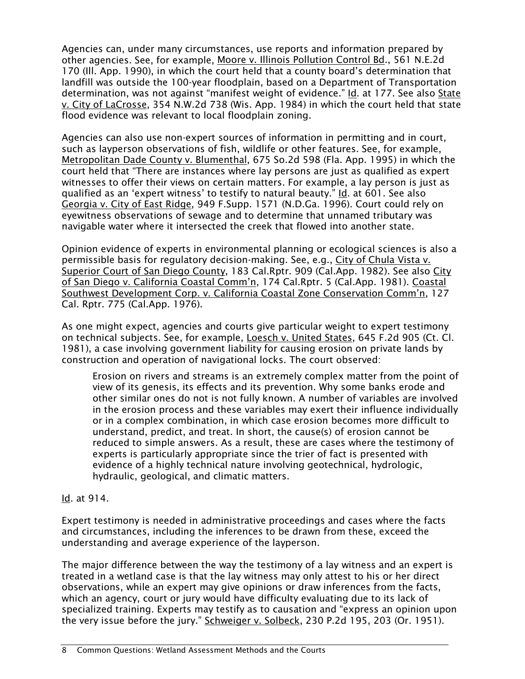Agencies can, under many circumstances, use reports and information prepared by other agencies. See, for example, Moore v. Illinois Pollution Control Bd., 561 N.E.2d 170 (Ill. App. 1990), in which the court held that a county board's determination that landfill was outside the 100-year floodplain, based on a Department of Transportation determination, was not against "manifest weight of evidence." Id. at 177. See also State v. City of LaCrosse, 354 N.W.2d 738 (Wis. App. 1984) in which the court held that state flood evidence was relevant to local floodplain zoning.

Agencies can also use non-expert sources of information in permitting and in court, such as layperson observations of fish, wildlife or other features. See, for example, Metropolitan Dade County v. Blumenthal, 675 So.2d 598 (Fla. App. 1995) in which the court held that "There are instances where lay persons are just as qualified as expert witnesses to offer their views on certain matters. For example, a lay person is just as qualified as an 'expert witness' to testify to natural beauty." Id. at 601. See also Georgia v. City of East Ridge, 949 F.Supp. 1571 (N.D.Ga. 1996). Court could rely on eyewitness observations of sewage and to determine that unnamed tributary was navigable water where it intersected the creek that flowed into another state.

Opinion evidence of experts in environmental planning or ecological sciences is also a permissible basis for regulatory decision-making. See, e.g., City of Chula Vista v. Superior Court of San Diego County, 183 Cal.Rptr. 909 (Cal.App. 1982). See also City of San Diego v. California Coastal Comm'n, 174 Cal.Rptr. 5 (Cal.App. 1981). Coastal Southwest Development Corp. v. California Coastal Zone Conservation Comm'n, 127 Cal. Rptr. 775 (Cal.App. 1976).

As one might expect, agencies and courts give particular weight to expert testimony on technical subjects. See, for example, Loesch v. United States, 645 F.2d 905 (Ct. Cl. 1981), a case involving government liability for causing erosion on private lands by construction and operation of navigational locks. The court observed:

Erosion on rivers and streams is an extremely complex matter from the point of view of its genesis, its effects and its prevention. Why some banks erode and other similar ones do not is not fully known. A number of variables are involved in the erosion process and these variables may exert their influence individually or in a complex combination, in which case erosion becomes more difficult to understand, predict, and treat. In short, the cause(s) of erosion cannot be reduced to simple answers. As a result, these are cases where the testimony of experts is particularly appropriate since the trier of fact is presented with evidence of a highly technical nature involving geotechnical, hydrologic, hydraulic, geological, and climatic matters.

#### Id. at 914.

Expert testimony is needed in administrative proceedings and cases where the facts and circumstances, including the inferences to be drawn from these, exceed the understanding and average experience of the layperson.

The major difference between the way the testimony of a lay witness and an expert is treated in a wetland case is that the lay witness may only attest to his or her direct observations, while an expert may give opinions or draw inferences from the facts, which an agency, court or jury would have difficulty evaluating due to its lack of specialized training. Experts may testify as to causation and "express an opinion upon the very issue before the jury." Schweiger v. Solbeck, 230 P.2d 195, 203 (Or. 1951).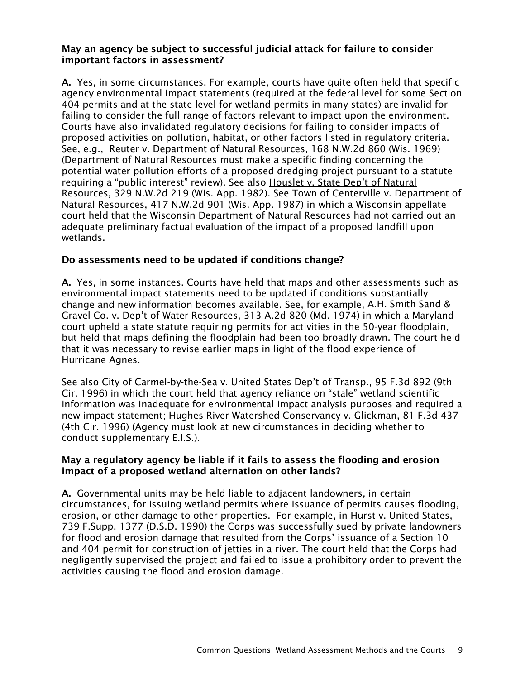#### May an agency be subject to successful judicial attack for failure to consider important factors in assessment?

A. Yes, in some circumstances. For example, courts have quite often held that specific agency environmental impact statements (required at the federal level for some Section 404 permits and at the state level for wetland permits in many states) are invalid for failing to consider the full range of factors relevant to impact upon the environment. Courts have also invalidated regulatory decisions for failing to consider impacts of proposed activities on pollution, habitat, or other factors listed in regulatory criteria. See, e.g., Reuter v. Department of Natural Resources, 168 N.W.2d 860 (Wis. 1969) (Department of Natural Resources must make a specific finding concerning the potential water pollution efforts of a proposed dredging project pursuant to a statute requiring a "public interest" review). See also Houslet v. State Dep't of Natural Resources, 329 N.W.2d 219 (Wis. App. 1982). See Town of Centerville v. Department of Natural Resources, 417 N.W.2d 901 (Wis. App. 1987) in which a Wisconsin appellate court held that the Wisconsin Department of Natural Resources had not carried out an adequate preliminary factual evaluation of the impact of a proposed landfill upon wetlands.

### Do assessments need to be updated if conditions change?

A. Yes, in some instances. Courts have held that maps and other assessments such as environmental impact statements need to be updated if conditions substantially change and new information becomes available. See, for example, A.H. Smith Sand & Gravel Co. v. Dep't of Water Resources, 313 A.2d 820 (Md. 1974) in which a Maryland court upheld a state statute requiring permits for activities in the 50-year floodplain, but held that maps defining the floodplain had been too broadly drawn. The court held that it was necessary to revise earlier maps in light of the flood experience of Hurricane Agnes.

See also City of Carmel-by-the-Sea v. United States Dep't of Transp., 95 F.3d 892 (9th Cir. 1996) in which the court held that agency reliance on "stale" wetland scientific information was inadequate for environmental impact analysis purposes and required a new impact statement; Hughes River Watershed Conservancy v. Glickman, 81 F.3d 437 (4th Cir. 1996) (Agency must look at new circumstances in deciding whether to conduct supplementary E.I.S.).

#### May a regulatory agency be liable if it fails to assess the flooding and erosion impact of a proposed wetland alternation on other lands?

A. Governmental units may be held liable to adjacent landowners, in certain circumstances, for issuing wetland permits where issuance of permits causes flooding, erosion, or other damage to other properties. For example, in Hurst v. United States, 739 F.Supp. 1377 (D.S.D. 1990) the Corps was successfully sued by private landowners for flood and erosion damage that resulted from the Corps' issuance of a Section 10 and 404 permit for construction of jetties in a river. The court held that the Corps had negligently supervised the project and failed to issue a prohibitory order to prevent the activities causing the flood and erosion damage.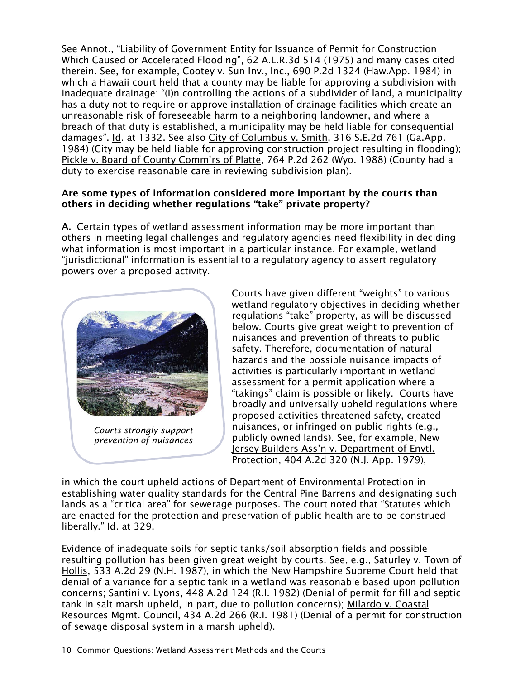See Annot., "Liability of Government Entity for Issuance of Permit for Construction Which Caused or Accelerated Flooding", 62 A.L.R.3d 514 (1975) and many cases cited therein. See, for example, Cootey v. Sun Inv., Inc., 690 P.2d 1324 (Haw.App. 1984) in which a Hawaii court held that a county may be liable for approving a subdivision with inadequate drainage: "(I)n controlling the actions of a subdivider of land, a municipality has a duty not to require or approve installation of drainage facilities which create an unreasonable risk of foreseeable harm to a neighboring landowner, and where a breach of that duty is established, a municipality may be held liable for consequential damages". Id. at 1332. See also City of Columbus v. Smith, 316 S.E.2d 761 (Ga.App. 1984) (City may be held liable for approving construction project resulting in flooding); Pickle v. Board of County Comm'rs of Platte, 764 P.2d 262 (Wyo. 1988) (County had a duty to exercise reasonable care in reviewing subdivision plan).

#### Are some types of information considered more important by the courts than others in deciding whether regulations "take" private property?

A. Certain types of wetland assessment information may be more important than others in meeting legal challenges and regulatory agencies need flexibility in deciding what information is most important in a particular instance. For example, wetland "jurisdictional" information is essential to a regulatory agency to assert regulatory powers over a proposed activity.



*Courts strongly support prevention of nuisances*

Courts have given different "weights" to various wetland regulatory objectives in deciding whether regulations "take" property, as will be discussed below. Courts give great weight to prevention of nuisances and prevention of threats to public safety. Therefore, documentation of natural hazards and the possible nuisance impacts of activities is particularly important in wetland assessment for a permit application where a "takings" claim is possible or likely. Courts have broadly and universally upheld regulations where proposed activities threatened safety, created nuisances, or infringed on public rights (e.g., publicly owned lands). See, for example, New Jersey Builders Ass'n v. Department of Envtl. Protection, 404 A.2d 320 (N.J. App. 1979),

in which the court upheld actions of Department of Environmental Protection in establishing water quality standards for the Central Pine Barrens and designating such lands as a "critical area" for sewerage purposes. The court noted that "Statutes which are enacted for the protection and preservation of public health are to be construed liberally." Id. at 329.

Evidence of inadequate soils for septic tanks/soil absorption fields and possible resulting pollution has been given great weight by courts. See, e.g., Saturley v. Town of Hollis, 533 A.2d 29 (N.H. 1987), in which the New Hampshire Supreme Court held that denial of a variance for a septic tank in a wetland was reasonable based upon pollution concerns; Santini v. Lyons, 448 A.2d 124 (R.I. 1982) (Denial of permit for fill and septic tank in salt marsh upheld, in part, due to pollution concerns); Milardo v. Coastal Resources Mgmt. Council, 434 A.2d 266 (R.I. 1981) (Denial of a permit for construction of sewage disposal system in a marsh upheld).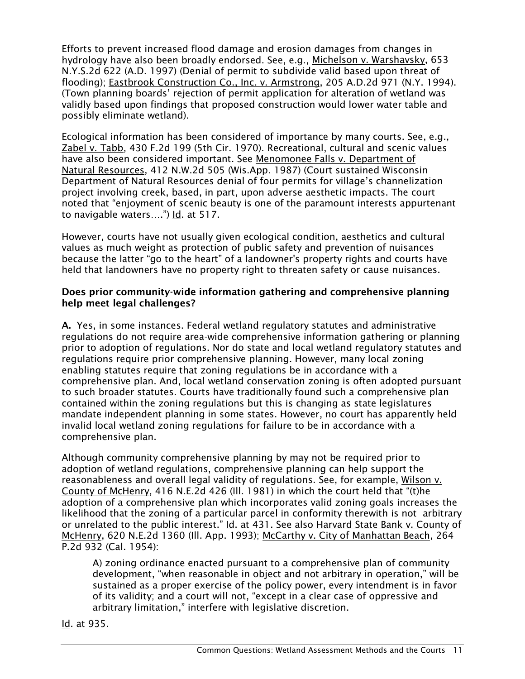Efforts to prevent increased flood damage and erosion damages from changes in hydrology have also been broadly endorsed. See, e.g., Michelson v. Warshavsky, 653 N.Y.S.2d 622 (A.D. 1997) (Denial of permit to subdivide valid based upon threat of flooding); Eastbrook Construction Co., Inc. v. Armstrong, 205 A.D.2d 971 (N.Y. 1994). (Town planning boards' rejection of permit application for alteration of wetland was validly based upon findings that proposed construction would lower water table and possibly eliminate wetland).

Ecological information has been considered of importance by many courts. See, e.g., Zabel v. Tabb, 430 F.2d 199 (5th Cir. 1970). Recreational, cultural and scenic values have also been considered important. See Menomonee Falls v. Department of Natural Resources, 412 N.W.2d 505 (Wis.App. 1987) (Court sustained Wisconsin Department of Natural Resources denial of four permits for village's channelization project involving creek, based, in part, upon adverse aesthetic impacts. The court noted that "enjoyment of scenic beauty is one of the paramount interests appurtenant to navigable waters....") Id. at 517.

However, courts have not usually given ecological condition, aesthetics and cultural values as much weight as protection of public safety and prevention of nuisances because the latter "go to the heart" of a landowner's property rights and courts have held that landowners have no property right to threaten safety or cause nuisances.

#### Does prior community-wide information gathering and comprehensive planning help meet legal challenges?

A. Yes, in some instances. Federal wetland regulatory statutes and administrative regulations do not require area-wide comprehensive information gathering or planning prior to adoption of regulations. Nor do state and local wetland regulatory statutes and regulations require prior comprehensive planning. However, many local zoning enabling statutes require that zoning regulations be in accordance with a comprehensive plan. And, local wetland conservation zoning is often adopted pursuant to such broader statutes. Courts have traditionally found such a comprehensive plan contained within the zoning regulations but this is changing as state legislatures mandate independent planning in some states. However, no court has apparently held invalid local wetland zoning regulations for failure to be in accordance with a comprehensive plan.

Although community comprehensive planning by may not be required prior to adoption of wetland regulations, comprehensive planning can help support the reasonableness and overall legal validity of regulations. See, for example, Wilson v. County of McHenry, 416 N.E.2d 426 (Ill. 1981) in which the court held that "(t)he adoption of a comprehensive plan which incorporates valid zoning goals increases the likelihood that the zoning of a particular parcel in conformity therewith is not arbitrary or unrelated to the public interest." Id. at 431. See also Harvard State Bank v. County of McHenry, 620 N.E.2d 1360 (Ill. App. 1993); McCarthy v. City of Manhattan Beach, 264 P.2d 932 (Cal. 1954):

A) zoning ordinance enacted pursuant to a comprehensive plan of community development, "when reasonable in object and not arbitrary in operation," will be sustained as a proper exercise of the policy power, every intendment is in favor of its validity; and a court will not, "except in a clear case of oppressive and arbitrary limitation," interfere with legislative discretion.

Id. at 935.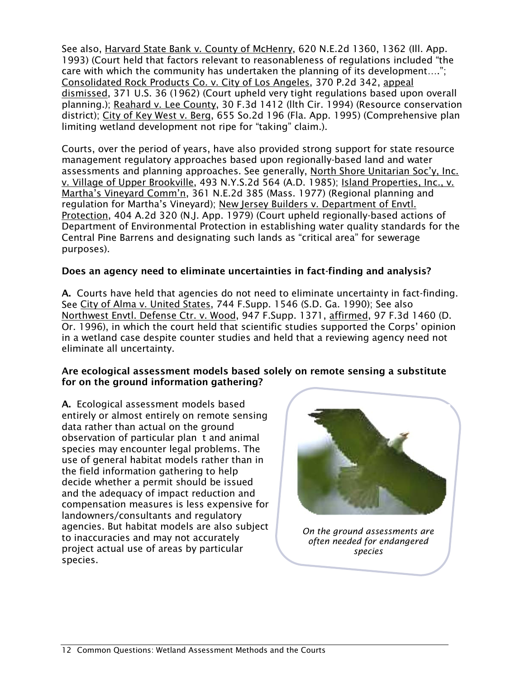See also, Harvard State Bank v. County of McHenry, 620 N.E.2d 1360, 1362 (Ill. App. 1993) (Court held that factors relevant to reasonableness of regulations included "the care with which the community has undertaken the planning of its development…."; Consolidated Rock Products Co. v. City of Los Angeles, 370 P.2d 342, appeal dismissed, 371 U.S. 36 (1962) (Court upheld very tight regulations based upon overall planning.); Reahard v. Lee County, 30 F.3d 1412 (llth Cir. 1994) (Resource conservation district); City of Key West v. Berg, 655 So.2d 196 (Fla. App. 1995) (Comprehensive plan limiting wetland development not ripe for "taking" claim.).

Courts, over the period of years, have also provided strong support for state resource management regulatory approaches based upon regionally-based land and water assessments and planning approaches. See generally, North Shore Unitarian Soc'y, Inc. v. Village of Upper Brookville, 493 N.Y.S.2d 564 (A.D. 1985); Island Properties, Inc., v. Martha's Vineyard Comm'n, 361 N.E.2d 385 (Mass. 1977) (Regional planning and regulation for Martha's Vineyard); New Jersey Builders v. Department of Envtl. Protection, 404 A.2d 320 (N.J. App. 1979) (Court upheld regionally-based actions of Department of Environmental Protection in establishing water quality standards for the Central Pine Barrens and designating such lands as "critical area" for sewerage purposes).

## Does an agency need to eliminate uncertainties in fact-finding and analysis?

A. Courts have held that agencies do not need to eliminate uncertainty in fact-finding. See City of Alma v. United States, 744 F.Supp. 1546 (S.D. Ga. 1990); See also Northwest Envtl. Defense Ctr. v. Wood, 947 F.Supp. 1371, affirmed, 97 F.3d 1460 (D. Or. 1996), in which the court held that scientific studies supported the Corps' opinion in a wetland case despite counter studies and held that a reviewing agency need not eliminate all uncertainty.

#### Are ecological assessment models based solely on remote sensing a substitute for on the ground information gathering?

A. Ecological assessment models based entirely or almost entirely on remote sensing data rather than actual on the ground observation of particular plan t and animal species may encounter legal problems. The use of general habitat models rather than in the field information gathering to help decide whether a permit should be issued and the adequacy of impact reduction and compensation measures is less expensive for landowners/consultants and regulatory agencies. But habitat models are also subject to inaccuracies and may not accurately project actual use of areas by particular species.



*On the ground assessments are often needed for endangered species*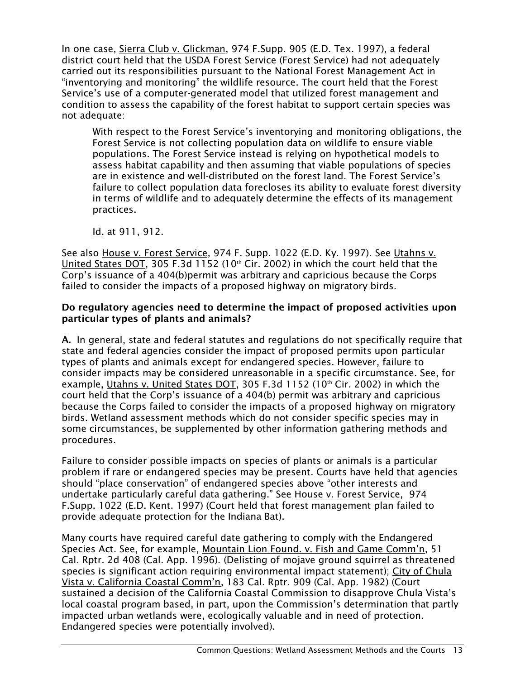In one case, Sierra Club v. Glickman, 974 F.Supp. 905 (E.D. Tex. 1997), a federal district court held that the USDA Forest Service (Forest Service) had not adequately carried out its responsibilities pursuant to the National Forest Management Act in "inventorying and monitoring" the wildlife resource. The court held that the Forest Service's use of a computer-generated model that utilized forest management and condition to assess the capability of the forest habitat to support certain species was not adequate:

With respect to the Forest Service's inventorying and monitoring obligations, the Forest Service is not collecting population data on wildlife to ensure viable populations. The Forest Service instead is relying on hypothetical models to assess habitat capability and then assuming that viable populations of species are in existence and well-distributed on the forest land. The Forest Service's failure to collect population data forecloses its ability to evaluate forest diversity in terms of wildlife and to adequately determine the effects of its management practices.

Id. at 911, 912.

See also House v. Forest Service, 974 F. Supp. 1022 (E.D. Ky. 1997). See Utahns v. United States DOT, 305 F.3d 1152 (10<sup>th</sup> Cir. 2002) in which the court held that the Corp's issuance of a 404(b)permit was arbitrary and capricious because the Corps failed to consider the impacts of a proposed highway on migratory birds.

#### Do regulatory agencies need to determine the impact of proposed activities upon particular types of plants and animals?

A. In general, state and federal statutes and regulations do not specifically require that state and federal agencies consider the impact of proposed permits upon particular types of plants and animals except for endangered species. However, failure to consider impacts may be considered unreasonable in a specific circumstance. See, for example, Utahns v. United States DOT, 305 F.3d 1152 (10<sup>th</sup> Cir. 2002) in which the court held that the Corp's issuance of a 404(b) permit was arbitrary and capricious because the Corps failed to consider the impacts of a proposed highway on migratory birds. Wetland assessment methods which do not consider specific species may in some circumstances, be supplemented by other information gathering methods and procedures.

Failure to consider possible impacts on species of plants or animals is a particular problem if rare or endangered species may be present. Courts have held that agencies should "place conservation" of endangered species above "other interests and undertake particularly careful data gathering." See House v. Forest Service, 974 F.Supp. 1022 (E.D. Kent. 1997) (Court held that forest management plan failed to provide adequate protection for the Indiana Bat).

Many courts have required careful date gathering to comply with the Endangered Species Act. See, for example, Mountain Lion Found. v. Fish and Game Comm'n, 51 Cal. Rptr. 2d 408 (Cal. App. 1996). (Delisting of mojave ground squirrel as threatened species is significant action requiring environmental impact statement); City of Chula Vista v. California Coastal Comm'n, 183 Cal. Rptr. 909 (Cal. App. 1982) (Court sustained a decision of the California Coastal Commission to disapprove Chula Vista's local coastal program based, in part, upon the Commission's determination that partly impacted urban wetlands were, ecologically valuable and in need of protection. Endangered species were potentially involved).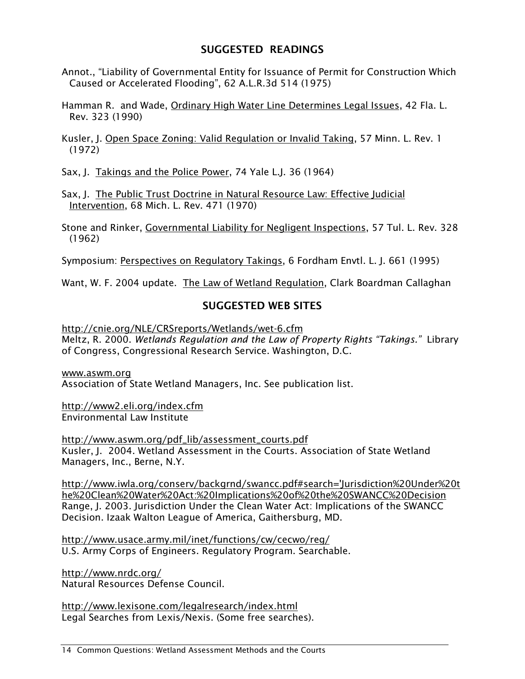# SUGGESTED READINGS

Annot., "Liability of Governmental Entity for Issuance of Permit for Construction Which Caused or Accelerated Flooding", 62 A.L.R.3d 514 (1975)

Hamman R. and Wade, Ordinary High Water Line Determines Legal Issues, 42 Fla. L. Rev. 323 (1990)

Kusler, J. Open Space Zoning: Valid Regulation or Invalid Taking, 57 Minn. L. Rev. 1 (1972)

Sax, J. Takings and the Police Power, 74 Yale L.J. 36 (1964)

Sax, J. The Public Trust Doctrine in Natural Resource Law: Effective Judicial Intervention, 68 Mich. L. Rev. 471 (1970)

Stone and Rinker, Governmental Liability for Negligent Inspections, 57 Tul. L. Rev. 328 (1962)

Symposium: Perspectives on Regulatory Takings, 6 Fordham Envtl. L. J. 661 (1995)

Want, W. F. 2004 update. The Law of Wetland Regulation, Clark Boardman Callaghan

# SUGGESTED WEB SITES

<http://cnie.org/NLE/CRSreports/Wetlands/wet-6.cfm> Meltz, R. 2000. *Wetlands Regulation and the Law of Property Rights "Takings."* Library of Congress, Congressional Research Service. Washington, D.C.

[www.aswm.org](http://www.aswm.org/)  Association of State Wetland Managers, Inc. See publication list.

<http://www2.eli.org/index.cfm> Environmental Law Institute

[http://www.aswm.org/pdf\\_lib/assessment\\_courts.pdf](http://www.aswm.org/pdf_lib/assessment_courts.pdf) Kusler, J. 2004. Wetland Assessment in the Courts. Association of State Wetland Managers, Inc., Berne, N.Y.

[http://www.iwla.org/conserv/backgrnd/swancc.pdf#search='Jurisdiction%20Under%20t](http://www.iwla.org/conserv/backgrnd/swancc.pdf#search=) [he%20Clean%20Water%20Act:%20Implications%20of%20the%20SWANCC%20Decision](http://www.iwla.org/conserv/backgrnd/swancc.pdf#search=) Range, J. 2003. Jurisdiction Under the Clean Water Act: Implications of the SWANCC Decision. Izaak Walton League of America, Gaithersburg, MD.

<http://www.usace.army.mil/inet/functions/cw/cecwo/reg/> U.S. Army Corps of Engineers. Regulatory Program. Searchable.

<http://www.nrdc.org/> Natural Resources Defense Council.

<http://www.lexisone.com/legalresearch/index.html> Legal Searches from Lexis/Nexis. (Some free searches).